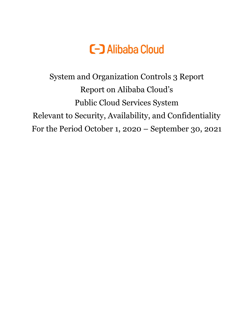

System and Organization Controls 3 Report Report on Alibaba Cloud's Public Cloud Services System Relevant to Security, Availability, and Confidentiality For the Period October 1, 2020 – September 30, 2021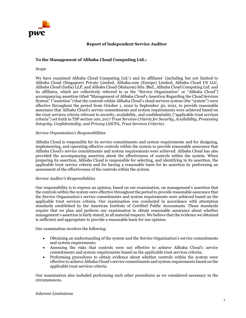

## **Report of Independent Service Auditor**

## **To the Management of Alibaba Cloud Computing Ltd.:**

#### *Scope*

We have examined Alibaba Cloud Computing Ltd.'s and its affiliates' (including but not limited to Alibaba Cloud (Singapore) Private Limited, Alibaba.com (Europe) Limited, Alibaba Cloud US LLC, Alibaba Cloud (India) LLP, and Alibaba Cloud (Malaysia) Sdn. Bhd., Alibaba Cloud Computing Ltd. and its affiliates, which are collectively referred to as the "Service Organization" or "Alibaba Cloud") accompanying assertion titled "Management of Alibaba Cloud's Assertion Regarding the Cloud Services System" ("assertion") that the controls within Alibaba Cloud's cloud services system (the "system") were effective throughout the period from October 1, 2020 to September 30, 2021, to provide reasonable assurance that Alibaba Cloud's service commitments and system requirements were achieved based on the trust services criteria relevant to security, availability, and confidentiality ("applicable trust services criteria") set forth in TSP section 100, *2017 Trust Services Criteria for Security, Availability, Processing Integrity, Confidentiality, and Privacy* (AICPA, *Trust Services Criteria*).

### *Service Organization's Responsibilities*

Alibaba Cloud is responsible for its service commitments and system requirements and for designing, implementing, and operating effective controls within the system to provide reasonable assurance that Alibaba Cloud's service commitments and system requirements were achieved. Alibaba Cloud has also provided the accompanying assertion about the effectiveness of controls within the system. When preparing its assertion, Alibaba Cloud is responsible for selecting, and identifying in its assertion, the applicable trust service criteria and for having a reasonable basis for its assertion by performing an assessment of the effectiveness of the controls within the system.

### *Service Auditor's Responsibilities*

Our responsibility is to express an opinion, based on our examination, on management's assertion that the controls within the system were effective throughout the period to provide reasonable assurance that the Service Organization's service commitments and system requirements were achieved based on the applicable trust services criteria. Our examination was conducted in accordance with attestation standards established by the American Institute of Certified Public Accountants. Those standards require that we plan and perform our examination to obtain reasonable assurance about whether management's assertion is fairly stated, in all material respects. We believe that the evidence we obtained is sufficient and appropriate to provide a reasonable basis for our opinion.

Our examination involves the following:

- Obtaining an understanding of the system and the Service Organization's service commitments and system requirements;
- Assessing the risks that controls were not effective to achieve Alibaba Cloud's service commitments and system requirements based on the applicable trust services criteria;
- Performing procedures to obtain evidence about whether controls within the system were effective to achieve Alibaba Cloud's service commitments and system requirements based on the applicable trust services criteria.

Our examination also included performing such other procedures as we considered necessary in the circumstances.

### *Inherent Limitations*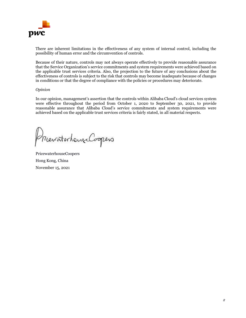

There are inherent limitations in the effectiveness of any system of internal control, including the possibility of human error and the circumvention of controls.

Because of their nature, controls may not always operate effectively to provide reasonable assurance that the Service Organization's service commitments and system requirements were achieved based on the applicable trust services criteria. Also, the projection to the future of any conclusions about the effectiveness of controls is subject to the risk that controls may become inadequate because of changes in conditions or that the degree of compliance with the policies or procedures may deteriorate.

### *Opinion*

In our opinion, management's assertion that the controls within Alibaba Cloud's cloud services system were effective throughout the period from October 1, 2020 to September 30, 2021, to provide reasonable assurance that Alibaba Cloud's service commitments and system requirements were achieved based on the applicable trust services criteria is fairly stated, in all material respects.

MeraterhampCoopers

PricewaterhouseCoopers Hong Kong, China November 15, 2021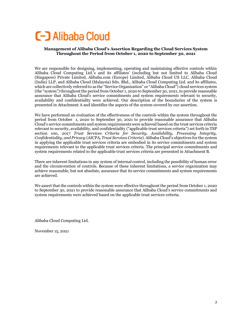# **C-D** Alibaba Cloud

## **Management of Alibaba Cloud's Assertion Regarding the Cloud Services System Throughout the Period from October 1, 2020 to September 30, 2021**

We are responsible for designing, implementing, operating and maintaining effective controls within Alibaba Cloud Computing Ltd.'s and its affiliates' (including but not limited to Alibaba Cloud (Singapore) Private Limited, Alibaba.com (Europe) Limited, Alibaba Cloud US LLC, Alibaba Cloud (India) LLP, and Alibaba Cloud (Malaysia) Sdn. Bhd., Alibaba Cloud Computing Ltd. and its affiliates, which are collectively referred to as the "Service Organization" or "Alibaba Cloud") cloud services system (the "system") throughout the period from October 1, 2020 to September 30, 2021, to provide reasonable assurance that Alibaba Cloud's service commitments and system requirements relevant to security, availability and confidentiality were achieved. Our description of the boundaries of the system is presented in Attachment A and identifies the aspects of the system covered by our assertion.

We have performed an evaluation of the effectiveness of the controls within the system throughout the period from October 1, 2020 to September 30, 2021 to provide reasonable assurance that Alibaba Cloud's service commitments and system requirements were achieved based on the trust services criteria relevant to security, availability, and confidentiality ("applicable trust services criteria") set forth in TSP section 100, *2017 Trust Services Criteria for Security, Availability, Processing Integrity, Confidentiality, and Privacy* (AICPA, *Trust Services Criteria*). Alibaba Cloud's objectives for the system in applying the applicable trust services criteria are embodied in its service commitments and system requirements relevant to the applicable trust services criteria. The principal service commitments and system requirements related to the applicable trust services criteria are presented in Attachment B.

There are inherent limitations in any system of internal control, including the possibility of human error and the circumvention of controls. Because of these inherent limitations, a service organization may achieve reasonable, but not absolute, assurance that its service commitments and system requirements are achieved.

We assert that the controls within the system were effective throughout the period from October 1, 2020 to September 30, 2021 to provide reasonable assurance that Alibaba Cloud's service commitments and system requirements were achieved based on the applicable trust services criteria.

Alibaba Cloud Computing Ltd.

November 15, 2021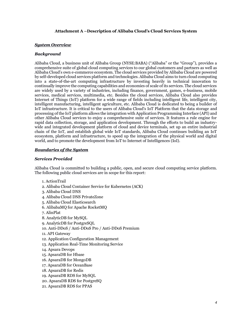## **Attachment A –Description of Alibaba Cloud's Cloud Services System**

#### *System Overview*

#### *Background*

Alibaba Cloud, a business unit of Alibaba Group (NYSE:BABA) ("Alibaba" or the "Group"), provides a comprehensive suite of global cloud computing services to our global customers and partners as well as Alibaba Cloud's own e-commerce ecosystem. The cloud services provided by Alibaba Cloud are powered by self-developed cloud services platform and technologies. Alibaba Cloud aims to turn cloud computing into a state-of-the-art computing infrastructure by investing heavily in technical innovation to continually improve the computing capabilities and economies of scale of its services. The cloud services are widely used by a variety of industries, including finance, government, games, e-business, mobile services, medical services, multimedia, etc. Besides the cloud services, Alibaba Cloud also provides Internet of Things (IoT) platform for a wide range of fields including intelligent life, intelligent city, intelligent manufacturing, intelligent agriculture, etc. Alibaba Cloud is dedicated to being a builder of IoT infrastructure. It is critical to the users of Alibaba Cloud's IoT Platform that the data storage and processing of the IoT platform allows the integration with Application Programming Interface (API) and other Alibaba Cloud services to enjoy a comprehensive suite of services. It features a rule engine for rapid data collection, storage, and application development. Through the efforts to build an industrywide and integrated development platform of cloud and device terminals, set up an entire industrial chain of the IoT, and establish global wide IoT standards, Alibaba Cloud continues building an IoT ecosystem, platform and infrastructure, to speed up the integration of the physical world and digital world, and to promote the development from IoT to Internet of Intelligences (IoI).

#### *Boundaries of the System*

#### *Services Provided*

Alibaba Cloud is committed to building a public, open, and secure cloud computing service platform. The following public cloud services are in scope for this report:

- 1. ActionTrail
- 2. Alibaba Cloud Container Service for Kubernetes (ACK)
- 3. Alibaba Cloud DNS
- 4. Alibaba Cloud DNS PrivateZone
- 5. Alibaba Cloud Elasticsearch
- 6. AlibabaMQ for Apache RocketMQ
- 7. AlinPlat
- 8. AnalyticDB for MySQL
- 9. AnalyticDB for PostgreSQL
- 10. Anti-DDoS / Anti-DDoS Pro / Anti-DDoS Premium
- 11. API Gateway
- 12. Application Configuration Management
- 13. Application Real-Time Monitoring Service
- 14. Apsara Devops
- 15. ApsaraDB for Hbase
- 16. ApsaraDB for MongoDB
- 17. ApsaraDB for OceanBase
- 18. ApsaraDB for Redis
- 19. ApsaraDB RDS for MySQL
- 20. ApsaraDB RDS for PostgreSQ
- 21. ApsaraDB RDS for PPAS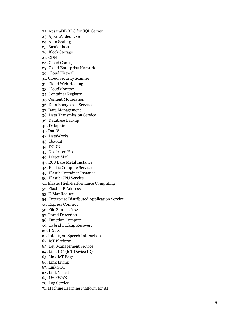- 22. ApsaraDB RDS for SQL Server
- 23. ApsaraVideo Live
- 24. Auto Scaling
- 25. Bastionhost
- 26. Block Storage
- 27. CDN
- 28. Cloud Config
- 29. Cloud Enterprise Network
- 30. Cloud Firewall
- 31. Cloud Security Scanner
- 32. Cloud Web Hosting
- 33. CloudMonitor
- 34. Container Registry
- 35. Content Moderation
- 36. Data Encryption Service
- 37. Data Management
- 38. Data Transmission Service
- 39. Database Backup
- 40. Dataphin
- 41. DataV
- 42. DataWorks
- 43. dbaudit
- 44. DCDN
- 45. Dedicated Host
- 46. Direct Mail
- 47. ECS Bare Metal Instance
- 48. Elastic Compute Service
- 49. Elastic Container Instance
- 50. Elastic GPU Service
- 51. Elastic High -Performance Computing
- 52. Elastic IP Address
- 53. E -MapReduce
- 54. Enterprise Distributed Application Service
- 55. Express Connect
- 56. File Storage NAS
- 57. Fraud Detection
- 58. Function Compute
- 59. Hybrid Backup Recovery
- 60. IDaaS
- 61. Intelligent Speech Interaction
- 62. IoT Platform
- 63. Key Management Service
- 64. Link ID² (IoT Device ID)
- 65. Link IoT Edge
- 66. Link Living
- 67. Link SOC
- 68. Link Visual
- 69. Link WAN
- 70. Log Service
- 71. Machine Learning Platform for AI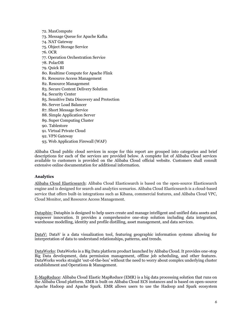- 72. MaxCompute
- 73. Message Queue for Apache Kafka
- 74. NAT Gateway
- 75. Object Storage Service
- 76. OCR
- 77. Operation Orchestration Service
- 78. PolarDB
- 79. Quick BI
- 80. Realtime Compute for Apache Flink
- 81. Resource Access Management
- 82. Resource Management
- 83. Secure Content Delivery Solution
- 84. Security Center
- 85. Sensitive Data Discovery and Protection
- 86. Server Load Balancer
- 87. Short Message Service
- 88. Simple Application Server
- 89. Super Computing Cluster
- 90. Tablestore
- 91. Virtual Private Cloud
- 92. VPN Gateway
- 93. Web Application Firewall (WAF)

Alibaba Cloud public cloud services in scope for this report are grouped into categories and brief descriptions for each of the services are provided below. A complete list of Alibaba Cloud services available to customers is provided on the Alibaba Cloud official website. Customers shall consult extensive online documentation for additional information.

## **Analytics**

Alibaba Cloud Elasticsearch: Alibaba Cloud Elasticsearch is based on the open-source Elasticsearch engine and is designed for search and analytics scenarios. Alibaba Cloud Elasticsearch is a cloud-based service that offers built-in integrations such as Kibana, commercial features, and Alibaba Cloud VPC, Cloud Monitor, and Resource Access Management.

Dataphin: Dataphin is designed to help users create and manage intelligent and unified data assets and empower innovation. It provides a comprehensive one-stop solution including data integration, warehouse modelling, identity and profile distilling, asset management, and data services.

DataV: DataV is a data visualization tool, featuring geographic information systems allowing for interpretation of data to understand relationships, patterns, and trends.

DataWorks: DataWorks is a Big Data platform product launched by Alibaba Cloud. It provides one-stop Big Data development, data permission management, offline job scheduling, and other features. DataWorks works straight 'out-of-the-box' without the need to worry about complex underlying cluster establishment and Operations & Management.

E-MapReduce: Alibaba Cloud Elastic MapReduce (EMR) is a big data processing solution that runs on the Alibaba Cloud platform. EMR is built on Alibaba Cloud ECS instances and is based on open-source Apache Hadoop and Apache Spark. EMR allows users to use the Hadoop and Spark ecosystem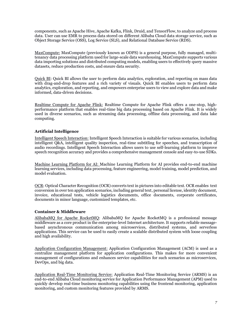components, such as Apache Hive, Apache Kafka, Flink, Druid, and TensorFlow, to analyze and process data. User can use EMR to process data stored on different Alibaba Cloud data storage service, such as Object Storage Service (OSS), Log Service (SLS), and Relational Database Service (RDS).

MaxCompute: MaxCompute (previously known as ODPS) is a general purpose, fully managed, multitenancy data processing platform used for large-scale data warehousing. MaxCompute supports various data importing solutions and distributed computing models, enabling users to effectively query massive datasets, reduce production costs, and ensure data security.

Quick BI: Quick BI allows the user to perform data analytics, exploration, and reporting on mass data with drag-and-drop features and a rich variety of visuals. Quick BI enables users to perform data analytics, exploration, and reporting, and empowers enterprise users to view and explore data and make informed, data-driven decisions.

Realtime Compute for Apache Flink: Realtime Compute for Apache Flink offers a one-stop, highperformance platform that enables real-time big data processing based on Apache Flink. It is widely used in diverse scenarios, such as streaming data processing, offline data processing, and data lake computing.

## **Artificial Intelligence**

Intelligent Speech Interaction: Intelligent Speech Interaction is suitable for various scenarios, including intelligent Q&A, intelligent quality inspection, real-time subtitling for speeches, and transcription of audio recordings. Intelligent Speech Interaction allows users to use self-learning platform to improve speech recognition accuracy and provides a comprehensive management console and easy-to-use SDKs.

Machine Learning Platform for AI: Machine Learning Platform for AI provides end-to-end machine learning services, including data processing, feature engineering, model training, model prediction, and model evaluation.

OCR: Optical Character Recognition (OCR) converts text in pictures into editable text. OCR enables text conversion in over ten application scenarios, including general text, personal license, identity document, invoice, educational tests, vehicle logistics documents, office documents, corporate certificates, documents in minor language, customized templates, etc.

## **Container & Middleware**

AlibabaMQ for Apache RocketMQ: AlibabaMQ for Apache RocketMQ is a professional message middleware as a core product in the enterprise-level Internet architecture. It supports reliable messagebased asynchronous communication among microservices, distributed systems, and serverless applications. This service can be used to easily create a scalable distributed system with loose coupling and high availability.

Application Configuration Management: Application Configuration Management (ACM) is used as a centralize management platform for application configurations. This makes for more convenient management of configurations and enhances service capabilities for such scenarios as microservices, DevOps, and big data.

Application Real-Time Monitoring Service: Application Real-Time Monitoring Service (ARMS) is an end-to-end Alibaba Cloud monitoring service for Application Performance Management (APM) used to quickly develop real-time business monitoring capabilities using the frontend monitoring, application monitoring, and custom monitoring features provided by ARMS.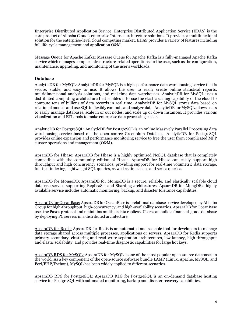Enterprise Distributed Application Service: Enterprise Distributed Application Service (EDAS) is the core product of Alibaba Cloud's enterprise Internet architecture solutions. It provides a multifunctional solution for the enterprise-level cloud computing market. EDAS provides a variety of features including full life-cycle management and application O&M.

Message Queue for Apache Kafka: Message Queue for Apache Kafka is a fully-managed Apache Kafka service which manages complex infrastructure-related operations for the user, such as the configuration, maintenance, upgrading, and monitoring of the user's workloads.

## **Database**

AnalyticDB for MySQL: AnalyticDB for MySQL is a high-performance data warehousing service that is secure, stable, and easy to use. It allows the user to easily create online statistical reports, multidimensional analysis solutions, and real-time data warehouses. AnalyticDB for MySQL uses a distributed computing architecture that enables it to use the elastic scaling capability of the cloud to compute tens of billions of data records in real time. AnalyticDB for MySQL stores data based on relational models and use SQL to flexibly compute and analyze data. AnalyticDB for MySQL allows users to easily manage databases, scale in or out nodes, and scale up or down instances. It provides various visualization and ETL tools to make enterprise data processing easier.

AnalyticDB for PostgreSQL: AnalyticDB for PostgreSQL is an online Massively Parallel Processing data warehousing service based on the open source Greenplum Database. AnalyticDB for PostgreSQL provides online expansion and performance monitoring service to free the user from complicated MPP cluster operations and management (O&M).

ApsaraDB for Hbase: ApsaraDB for Hbase is a highly optimized NoSQL database that is completely compatible with the community edition of Hbase. ApsaraDB for Hbase can easily support high throughput and high concurrency scenarios, providing support for real-time volumetric data storage, full-text indexing, lightweight SQL queries, as well as time space and series queries.

ApsaraDB for MongoDB: ApsaraDB for MongoDB is a secure, reliable, and elastically scalable cloud database service supporting ReplicaSet and Sharding architectures. ApsaraDB for MongDB's highly available service includes automatic monitoring, backup, and disaster tolerance capabilities.

ApsaraDB for OceanBase: ApsaraDB for OceanBase is a relational database service developed by Alibaba Group for high-throughput, high-concurrency, and high-availability scenarios. ApsaraDB for OceanBase uses the Paxos protocol and maintains multiple data replicas. Users can build a financial-grade database by deploying PC servers in a distributed architecture.

ApsaraDB for Redis: ApsaraDB for Redis is an automated and scalable tool for developers to manage data storage shared across multiple processes, applications or servers. ApsaraDB for Redis supports primary-secondary, clustering and read-write separation architectures, low latency, high throughput and elastic scalability, and provides real-time diagnostic capabilities for large hot keys.

ApsaraDB RDS for MySQL: ApsaraDB for MySQL is one of the most popular open-source databases in the world. As a key component of the open-source software bundle LAMP (Linux, Apache, MySQL, and Perl/PHP/Python), MySQL has been widely applied to different scenarios.

ApsaraDB RDS for PostgreSQL: ApsaraDB RDS for PostgreSQL is an on-demand database hosting service for PostgreSQL with automated monitoring, backup and disaster recovery capabilities.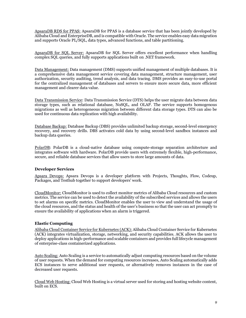ApsaraDB RDS for PPAS: ApsaraDB for PPAS is a database service that has been jointly developed by Alibaba Cloud and EnterpriseDB, and is compatible with Oracle. The service enables easy data migration and supports Oracle PL/SQL, data types, advanced functions, and table partitioning.

ApsaraDB for SQL Server: ApsaraDB for SQL Server offers excellent performance when handling complex SQL queries, and fully supports applications built on .NET framework.

Data Management: Data management (DMS) supports unified management of multiple databases. It is a comprehensive data management service covering data management, structure management, user authorization, security auditing, trend analysis, and data tracing. DMS provides an easy-to-use portal for the centralized management of databases and servers to ensure more secure data, more efficient management and clearer data value.

Data Transmission Service: Data Transmission Service (DTS) helps the user migrate data between data storage types, such as relational database, NoSQL, and OLAP. The service supports homogenous migrations as well as heterogeneous migration between different data storage types. DTS can also be used for continuous data replication with high availability.

Database Backup: Database Backup (DBS) provides unlimited backup storage, second-level emergency recovery, and recovery drills. DBS activates cold data by using second-level sandbox instances and backup data queries.

PolarDB: PolarDB is a cloud-native database using compute-storage separation architecture and integrates software with hardware. PolarDB provide users with extremely flexible, high-performance, secure, and reliable database services that allow users to store large amounts of data.

### **Developer Services**

Apsara Devops: Apsara Devops is a developer platform with Projects, Thoughts, Flow, Codeup, Packages, and Testhub together to support developers' work.

CloudMonitor: CloudMonitor is used to collect monitor metrics of Alibaba Cloud resources and custom metrics. The service can be used to detect the availability of the subscribed services and allows the users to set alarms on specific metrics. CloudMonitor enables the user to view and understand the usage of the cloud resources, and the status and health of the user's business so that the user can act promptly to ensure the availability of applications when an alarm is triggered.

### **Elastic Computing**

Alibaba Cloud Container Service for Kubernetes (ACK):Alibaba Cloud Container Service for Kubernetes (ACK) integrates virtualization, storage, networking, and security capabilities. ACK allows the user to deploy applications in high-performance and scalable containers and provides full lifecycle management of enterprise-class containerized applications.

Auto Scaling: Auto Scaling is a service to automatically adjust computing resources based on the volume of user requests. When the demand for computing resources increases, Auto Scaling automatically adds ECS instances to serve additional user requests, or alternatively removes instances in the case of decreased user requests.

Cloud Web Hosting: Cloud Web Hosting is a virtual server used for storing and hosting website content, built on ECS.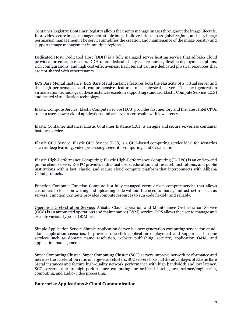Container Registry: Container Registry allows the user to manage images throughout the image lifecycle. It provides secure image management, stable image build creation across global regions, and easy image permission management. The service simplifies the creation and maintenance of the image registry and supports image management in multiple regions.

Dedicated Host: Dedicated Host (DDH) is a fully managed server hosting service that Alibaba Cloud provides for enterprise users. DDH offers dedicated physical resources, flexible deployment options, rich configurations, and high cost-effectiveness. Each tenant can use dedicated physical resources that are not shared with other tenants.

ECS Bare Mental Instance: ECS Bare Metal Instance features both the elasticity of a virtual server and the high-performance and comprehensive features of a physical server. The next-generation virtualization technology of these instances excels in supporting standard Elastic Compute Service (ECS) and nested virtualization technology.

Elastic Compute Service: Elastic Compute Service (ECS) provides fast memory and the latest Intel CPUs to help users power cloud applications and achieve faster results with low latency.

Elastic Container Instance: Elastic Container Instance (ECI) is an agile and secure serverless container instance service.

Elastic GPU Service: Elastic GPU Service (EGS) is a GPU-based computing service ideal for scenarios such as deep learning, video processing, scientific computing, and visualization.

Elastic High-Performance Computing: Elastic High-Performance Computing (E-HPC) is an end-to-end public cloud service. E-HPC provides individual users, education and research institutions, and public institutions with a fast, elastic, and secure cloud compute platform that interconnects with Alibaba Cloud products.

Function Compute: Function Compute is a fully managed event-driven compute service that allows customers to focus on writing and uploading code without the need to manage infrastructure such as servers. Function Compute provides compute resources to run code flexibly and reliably.

Operation Orchestration Service: Alibaba Cloud Operation and Maintenance Orchestration Service (OOS) is an automated operations and maintenance (O&M) service. OOS allows the user to manage and execute various types of O&M tasks.

Simple Application Server: Simple Application Server is a new generation computing service for standalone application scenarios. It provides one-click application deployment and supports all-in-one services such as domain name resolution, website publishing, security, application O&M, and application management.

Super Computing Cluster: Super Computing Cluster (SCC) servers improve network performance and increase the acceleration ratio of large-scale clusters. SCC servers boast all the advantages of Elastic Bare Metal instances and feature high-quality network performance with high bandwidth and low latency. SCC servers cater to high-performance computing for artificial intelligence, science/engineering computing, and audio/video processing.

## **Enterprise Applications & Cloud Communication**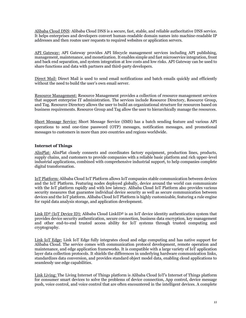Alibaba Cloud DNS: Alibaba Cloud DNS is a secure, fast, stable, and reliable authoritative DNS service. It helps enterprises and developers convert human-readable domain names into machine-readable IP addresses and then routes user requests to required websites or application servers.

API Gateway: API Gateway provides API lifecycle management services including API publishing, management, maintenance, and monetization. It enables simple and fast microservice integration, front and back end separation, and system integration at low costs and low risks. API Gateway can be used to share functions and data with partners and third-party developers.

Direct Mail: Direct Mail is used to send email notifications and batch emails quickly and efficiently without the need to build the user's own email server.

Resource Management: Resource Management provides a collection of resource management services that support enterprise IT administration. The services include Resource Directory, Resource Group, and Tag. Resource Directory allows the user to build an organizational structure for resources based on business requirements. Resource Group and Tag allow the user to hierarchically manage the resources.

Short Message Service: Short Message Service (SMS) has a batch sending feature and various API operations to send one-time password (OTP) messages, notification messages, and promotional messages to customers in more than 200 countries and regions worldwide.

## **Internet of Things**

AlinPlat: AlinPlat closely connects and coordinates factory equipment, production lines, products, supply chains, and customers to provide companies with a reliable basic platform and rich upper-level industrial applications, combined with comprehensive industrial support, to help companies complete digital transformation.

IoT Platform: Alibaba Cloud IoT Platform allows IoT companies stable communication between devices and the IoT Platform. Featuring nodes deployed globally, device around the world can communicate with the IoT platform rapidly and with low latency. Alibaba Cloud IoT Platform also provides various security measures that guarantee individual device security as well as secure communication between devices and the IoT platform. Alibaba Cloud IoT Platform is highly customizable, featuring a rule engine for rapid data analysis storage, and application development.

Link ID<sup>2</sup> (IoT Device ID): Alibaba Cloud LinkID<sup>2</sup> is an IoT device identity authentication system that provides device security authentication, secure connection, business data encryption, key management and other end-to-end trusted access ability for IoT systems through trusted computing and cryptography.

Link IoT Edge: Link IoT Edge fully integrates cloud and edge computing and has native support for Alibaba Cloud. The service comes with communication protocol development, remote operation and maintenance, and edge application frameworks. It is compatible with a large variety of IoT application layer data collection protocols. It shields the differences in underlying hardware communication links, standardizes data conversion, and provides standard object model data, enabling cloud applications to seamlessly use edge capabilities.

Link Living: The Living Internet of Things platform is Alibaba Cloud IoT's Internet of Things platform for consumer smart devices to solve the problems of device connection, App control, device message push, voice control, and voice control that are often encountered in the intelligent devices. A complete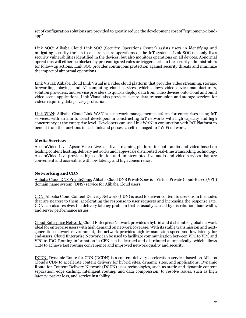set of configuration solutions are provided to greatly reduce the development cost of "equipment-cloudapp"

Link SOC: Alibaba Cloud Link SOC (Security Operations Center) assists users in identifying and mitigating security threats to ensure secure operations of the IoT systems. Link SOC not only fixes security vulnerabilities identified in the devices, but also monitors operations on all devices. Abnormal operations will either be blocked by pre-configured rules or trigger alerts to the security administrators for follow-up actions. Link SOC provides continuous protection against security threats and minimize the impact of abnormal operations.

Link Visual: Alibaba Cloud Link Visual is a video cloud platform that provides video streaming, storage, forwarding, playing, and AI computing cloud services, which allows video device manufacturers, solution providers, and service providers to quickly deploy data from video devices onto cloud and build video scene applications. Link Visual also provides secure data transmission and storage services for videos requiring data privacy protection.

Link WAN: Alibaba Cloud Link WAN is a network management platform for enterprises using IoT services, with an aim to assist developers in constructing IoT networks with high capacity and high concurrency at the enterprise level. Developers can use Link WAN in conjunction with IoT Platform to benefit from the functions in each link and possess a self-managed IoT WiFi network.

### **Media Services**

ApsaraVideo Live: ApsaraVideo Live is a live streaming platform for both audio and video based on leading content hosting, delivery networks and large-scale distributed real-time transcoding technology. ApsaraVideo Live provides high-definition and uninterrupted live audio and video services that are convenient and accessible, with low latency and high concurrency.

## **Networking and CDN**

Alibaba Cloud DNS PrivateZone: Alibaba Cloud DNS PrivateZone is a Virtual Private Cloud-Based (VPC) domain name system (DNS) service for Alibaba Cloud users.

CDN: Alibaba Cloud Content Delivery Network (CDN) is used to deliver content to users from the nodes that are nearest to them, accelerating the response to user requests and increasing the response rate. CDN can also resolves the delivery latency problem that is usually caused by distribution, bandwidth, and server performance issues.

Cloud Enterprise Network: Cloud Enterprise Network provides a hybrid and distributed global network ideal for enterprise users with high demand on network coverage. With its stable transmission and nextgeneration network environment, the network provides high transmission speed and low latency for end-users. Cloud Enterprise Network can be used to facilitate communication between VPC to VPC and VPC to IDC. Routing information in CEN can be learned and distributed automatically, which allows CEN to achieve fast routing convergence and improved network quality and security.

DCDN: Dynamic Route for CDN (DCDN) is a content delivery acceleration service, based on Alibaba Cloud's CDN to accelerate content delivery for hybrid sites, dynamic sites, and applications. Dynamic Route for Content Delivery Network (DCDN) uses technologies, such as static and dynamic content separation, edge caching, intelligent routing, and data compression, to resolve issues, such as high latency, packet loss, and service instability.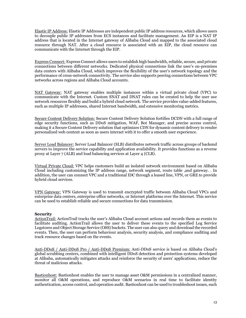Elastic IP Address: Elastic IP Addresses are independent public IP address resources, which allows users to decouple public IP addresses from ECS instances and facilitate management. An EIP is a NAT IP address that is located in the Internet gateway of Alibaba Cloud and mapped to the associated cloud resource through NAT. After a cloud resource is associated with an EIP, the cloud resource can communicate with the Internet through the EIP.

Express Connect: Express Connect allows users to establish high bandwidth, reliable, secure, and private connections between different networks. Dedicated physical connections link the user's on-premises data centers with Alibaba Cloud, which improves the flexibility of the user's network topology and the performance of cross-network connectivity. The service also supports peering connections between VPC networks across regions and Alibaba Cloud accounts.

NAT Gateway: NAT gateway enables multiple instances within a virtual private cloud (VPC) to communicate with the Internet. Custom SNAT and DNAT rules can be created to help the user use network resources flexibly and build a hybrid cloud network. The service provides value-added features, such as multiple IP addresses, shared Internet bandwidth, and extensive monitoring metrics.

Secure Content Delivery Solution: Secure Content Delivery Solution fortifies DCDN with a full range of edge security functions, such as DDoS mitigation, WAF, Bot Manager, and precise access control, making it a Secure Content Delivery solution that optimizes CDN for dynamic content delivery to render personalized web content as soon as users interact with it to offer a smooth user experience.

Server Load Balancer: Server Load Balancer (SLB) distributes network traffic across groups of backend servers to improve the service capability and application availability. It provides functions as a reverse proxy at Layer 7 (ALB) and load balancing services at Layer 4 (CLB).

Virtual Private Cloud: VPC helps customers build an isolated network environment based on Alibaba Cloud including customizing the IP address range, network segment, route table ,and gateway. . In addition, the user can connect VPC and a traditional IDC through a leased line, VPN, or GRE to provide hybrid cloud services.

VPN Gateway: VPN Gateway is used to transmit encrypted traffic between Alibaba Cloud VPCs and enterprise data centers, enterprise office networks, or Internet platforms over the Internet. This service can be used to establish reliable and secure connections for data transmission.

### **Security**

ActionTrail: ActionTrail tracks the user's Alibaba Cloud account actions and records them as events to facilitate auditing. ActionTrail allows the user to deliver these events to the specified Log Service Logstores and Object Storage Service (OSS) buckets. The user can also query and download the recorded events. Then, the user can perform behaviour analysis, security analysis, and compliance auditing and track resource changes based on the events.

Anti-DDoS / Anti-DDoS Pro / Anti-DDoS Premium: Anti-DDoS service is based on Alibaba Cloud's global scrubbing centers, combined with intelligent DDoS detection and protection systems developed at Alibaba, automatically mitigates attacks and reinforce the security of users' applications, reduce the threat of malicious attacks.

Bastionhost: Bastionhost enables the user to manage asset O&M permissions in a centralized manner, monitor all O&M operations, and reproduce O&M scenarios in real time to facilitate identity authentication, access control, and operation audit. Bastionhost can be used to troubleshoot issues, such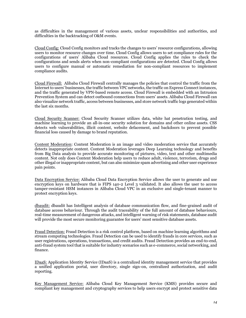as difficulties in the management of various assets, unclear responsibilities and authorities, and difficulties in the backtracking of O&M events.

Cloud Config: Cloud Config monitors and tracks the changes to users' resource configurations, allowing users to monitor resource changes over time. Cloud Config allows users to set compliance rules for the configurations of users' Alibaba Cloud resources. Cloud Config applies the rules to check the configurations and sends alerts when non-compliant configurations are detected. Cloud Config allows users to configure manual or automatic remediation for non-compliant resources to implement compliance audits.

Cloud Firewall: Alibaba Cloud Firewall centrally manages the policies that control the traffic from the Internet to users' businesses, the traffic between VPC networks, the traffic on Express Connect instances, and the traffic generated by VPN-based remote access. Cloud Firewall is embedded with an Intrusion Prevention System and can detect outbound connections from users' assets. Alibaba Cloud Firewall can also visualize network traffic, access between businesses, and store network traffic logs generated within the last six months.

Cloud Security Scanner: Cloud Security Scanner utilizes data, white hat penetration testing, and machine learning to provide an all-in-one security solution for domains and other online assets. CSS detects web vulnerabilities, illicit content, website defacement, and backdoors to prevent possible financial loss caused by damage to brand reputation.

Content Moderation: Content Moderation is an image and video moderation service that accurately detects inappropriate content. Content Moderation leverages Deep Learning technology and benefits from Big Data analysis to provide accurate monitoring of pictures, video, text and other multimedia content. Not only does Content Moderation help users to reduce adult, violence, terrorism, drugs and other illegal or inappropriate content, but can also minimize spam advertising and other user experience pain points.

Data Encryption Service: Alibaba Cloud Data Encryption Service allows the user to generate and use encryption keys on hardware that is FIPS 140-2 Level 3 validated. It also allows the user to access tamper-resistant HSM instances in Alibaba Cloud VPC in an exclusive and single-tenant manner to protect encryption keys.

dbaudit: dbaudit has Intelligent analysis of database communication flow, and fine-grained audit of database access behaviour. Through the audit traceability of the full amount of database behaviours, real-time measurement of dangerous attacks, and intelligent warning of risk statements, database audit will provide the most secure monitoring guarantee for users' most sensitive database assets.

Fraud Detection: Fraud Detection is a risk control platform, based on machine learning algorithms and stream computing technologies. Fraud Detection can be used to identify frauds in core services, such as user registrations, operations, transactions, and credit audits. Fraud Detection provides an end-to-end, anti-fraud system tool that is suitable for industry scenarios such as e-commerce, social networking, and finance.

IDaaS: Application Identity Service (IDaaS) is a centralized identity management service that provides a unified application portal, user directory, single sign-on, centralized authorization, and audit reporting.

Key Management Service: Alibaba Cloud Key Management Service (KMS) provides secure and compliant key management and cryptography services to help users encrypt and protect sensitive data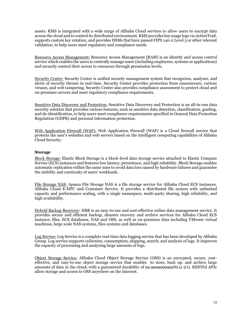assets. KMS is integrated with a wide range of Alibaba Cloud services to allow users to encrypt data across the cloud and to control its distributed environment. KMS provides key usage logs via ActionTrail, supports custom key rotation, and provides HSMs that have passed FIPS 140-2 Level 3 or other relevant validation, to help users meet regulatory and compliance needs.

Resource Access Management: Resource Access Management (RAM) is an identity and access control service which enables the users to centrally manage users (including employees, systems or applications) and securely control their access to resources through permission levels.

Security Center: Security Center is unified security management system that recognizes, analyzes, and alerts of security threats in real-time. Security Center provides protection from ransomware, various viruses, and web tampering. Security Center also provides compliance assessment to protect cloud and on-premises servers and meet regulatory compliance requirements.

Sensitive Data Discovery and Protection: Sensitive Data Discovery and Protection is an all-in-one data security solution that provides various features, such as sensitive data detection, classification, grading, and de-identification, to help users meet compliance requirements specified in General Data Protection Regulation (GDPR) and personal information protection.

Web Application Firewall (WAF): Web Application Firewall (WAF) is a Cloud firewall service that protects the user's websites and web servers based on the intelligent computing capabilities of Alibaba Cloud Security.

### **Storage**

Block Storage: Elastic Block Storage is a block-level data storage service attached to Elastic Compute Service (ECS) instances and features low latency, persistence, and high reliability. Block Storage enables automatic replication within the same zone to avoid data loss caused by hardware failures and guarantee the stability and continuity of users' workloads.

File Storage NAS: Apsara File Storage NAS is a file storage service for Alibaba Cloud ECS instances, Alibaba Cloud E-HPC and Container Service. It provides a distributed file system with unlimited capacity and performance scaling, with a single namespace, multi-party sharing, high reliability, and high availability.

Hybrid Backup Recovery: HBR is an easy-to-use and cost-effective online data management service. It provides secure and efficient backup, disaster recovery and archive services for Alibaba Cloud ECS instance, files, ECS databases, NAS and OSS, as well as on-premises data including VMware virtual machines, large scale NAS systems, files systems and databases.

Log Service: Log Service is a complete real-time data logging service that has been developed by Alibaba Group. Log service supports collection, consumption, shipping, search, and analysis of logs. It improves the capacity of processing and analysing large amounts of logs.

Object Storage Service: Alibaba Cloud Object Storage Service (OSS) is an encrypted, secure, costeffective, and easy-to-use object storage service that enables to store, back up, and archive large amounts of data in the cloud, with a guaranteed durability of 99.9999999999%(12 9's). RESTful APIs allow storage and access to OSS anywhere on the Internet.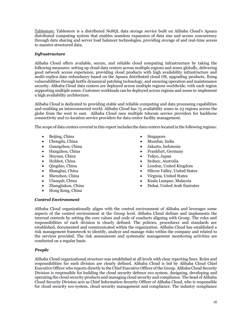Tablestore: Tablestore is a distributed NoSQL data storage service built on Alibaba Cloud's Apsara distributed computing system that enables seamless expansion of data size and access concurrency through data sharing and server load balancer technologies, providing storage of and real-time access to massive structured data.

## *Infrastructure*

Alibaba Cloud offers available, secure, and reliable cloud computing infrastructure by taking the following measures: setting up cloud data centers across multiple regions and zones globally, delivering good network access experience, providing cloud products with high availability infrastructure and multi-replica data redundancy based on the Apsara distributed cloud OS, upgrading products, fixing vulnerabilities through hotfix dynamical patching technology, and ensuring operation and maintenance security. Alibaba Cloud data centers are deployed across multiple regions worldwide, with each region supporting multiple zones. Customer workloads can be deployed across regions and zones to implement a high availability architecture.

Alibaba Cloud is dedicated to providing stable and reliable computing and data processing capabilities and enabling an interconnected world. Alibaba Cloud has 75 availability zones in 23 regions across the globe from the west to east. Alibaba Cloud uses multiple telecom service providers for backbone connectivity and co-location service providers for data center facility management.

The scope of data centers covered in this report includes the data centers located in the following regions:

- Beijing, China
- Chengdu, China
- Guangzhou, China
- Hangzhou, China
- Heyuan, China
- Hohhot, China
- Qingdao, China
- Shanghai, China
- Shenzhen, China
- Ulanqab, China
- Zhangjiakou, China
- Hong Kong, China
- **Singapore**
- Mumbai, India
- Jakarta, Indonesia
- Frankfurt, Germany
- Tokyo, Japan
- Sydney, Australia
- London, United Kingdom
- Silicon Valley, United States
- Virginia, United States
- Kuala Lumpur, Malaysia
- Dubai, United Arab Emirates

## *Control Environment*

Alibaba Cloud organizationally aligns with the control environment of Alibaba and leverages some aspects of the control environment at the Group level. Alibaba Cloud defines and implements the internal controls by setting the core values and code of conducts aligning with Group. The roles and responsibilities of each division is clearly defined. The policies, procedures and standards are established, documented and communicated within the organization. Alibaba Cloud has established a risk management framework to identify, analyze and manage risks within the company and related to the services provided. The risk assessments and systematic management monitoring activities are conducted on a regular basis.

# *People*

Alibaba Cloud organizational structure was established at all levels with clear reporting lines. Roles and responsibilities for each division are clearly defined. Alibaba Cloud is led by Alibaba Cloud Chief Executive Officer who reports directly to the Chief Executive Officer of the Group. Alibaba Cloud Security Division is responsible for building the cloud security defence eco-system, designing, developing and operating the cloud security products and managing cloud security and compliance. The head of Alibaba Cloud Security Division acts as Chief Information Security Officer of Alibaba Cloud, who is responsible for cloud security eco-system, cloud security management and compliance. The industry compliance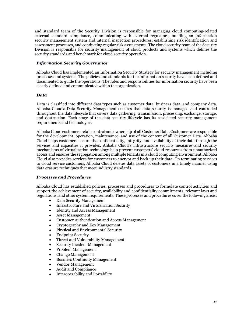and standard team of the Security Division is responsible for managing cloud computing-related external standard compliance, communicating with external regulators, building an information security management system and internal inspection procedures, establishing risk identification and assessment processes, and conducting regular risk assessments. The cloud security team of the Security Division is responsible for security management of cloud products and systems which defines the security standards and benchmark for cloud security operation.

## *Information Security Governance*

Alibaba Cloud has implemented an Information Security Strategy for security management including processes and systems. The policies and standards for the information security have been defined and documented to guide the operations. The roles and responsibilities for information security have been clearly defined and communicated within the organization.

## *Data*

Data is classified into different data types such as customer data, business data, and company data. Alibaba Cloud's Data Security Management ensures that data security is managed and controlled throughout the data lifecycle that covers data gathering, transmission, processing, exchange, storage, and destruction. Each stage of the data security lifecycle has its associated security management requirements and technologies.

Alibaba Cloud customers retain control and ownership of all Customer Data. Customers are responsible for the development, operation, maintenance, and use of the content of all Customer Data. Alibaba Cloud helps customers ensure the confidentiality, integrity, and availability of their data through the services and capacities it provides. Alibaba Cloud's infrastructure security measures and security mechanisms of virtualization technology help prevent customers' cloud resources from unauthorized access and ensures the segregation among multiple tenants in a cloud computing environment. Alibaba Cloud also provides services for customers to encrypt and back up their data. On terminating services to cloud service customers, Alibaba Cloud deletes data assets of customers in a timely manner using data erasure techniques that meet industry standards.

### *Processes and Procedures*

Alibaba Cloud has established policies, processes and procedures to formulate control activities and support the achievement of security, availability and confidentiality commitments, relevant laws and regulations, and other system requirements. These processes and procedures cover the following areas:

- Data Security Management
- Infrastructure and Virtualization Security
- Identity and Access Management
- Asset Management
- Customer Authentication and Access Management
- Cryptography and Key Management
- Physical and Environmental Security
- Endpoint Security
- Threat and Vulnerability Management
- Security Incident Management
- Problem Management
- Change Management
- Business Continuity Management
- Vendor Management
- Audit and Compliance
- Interoperability and Portability